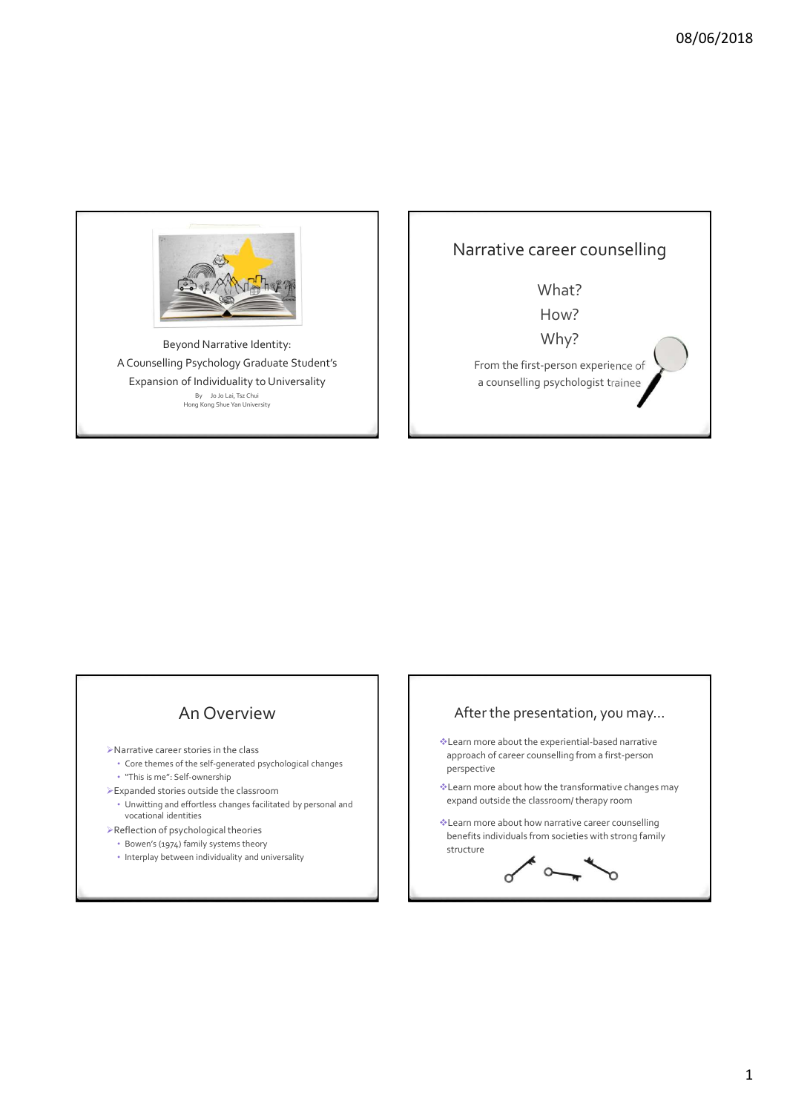

Beyond Narrative Identity: A Counselling Psychology Graduate Student's Expansion of Individuality to Universality<br>
By JoJoLai, Tsz Chui<br>
Hong Kong Shue Yan University



### An Overview

- Narrative career stories in the class
	- Core themes of the self-generated psychological changes
	- "This is me": Self-ownership
- Expanded stories outside the classroom
	- Unwitting and effortless changes facilitated by personal and vocational identities
- Reflection of psychological theories
	- Bowen's (1974) family systems theory
	- Interplay between individuality and universality



- Learn more about the experiential-based narrative approach of career counselling from a first-person perspective
- Learn more about how the transformative changes may expand outside the classroom/ therapy room
- Learn more about how narrative career counselling benefits individuals from societies with strong family structure

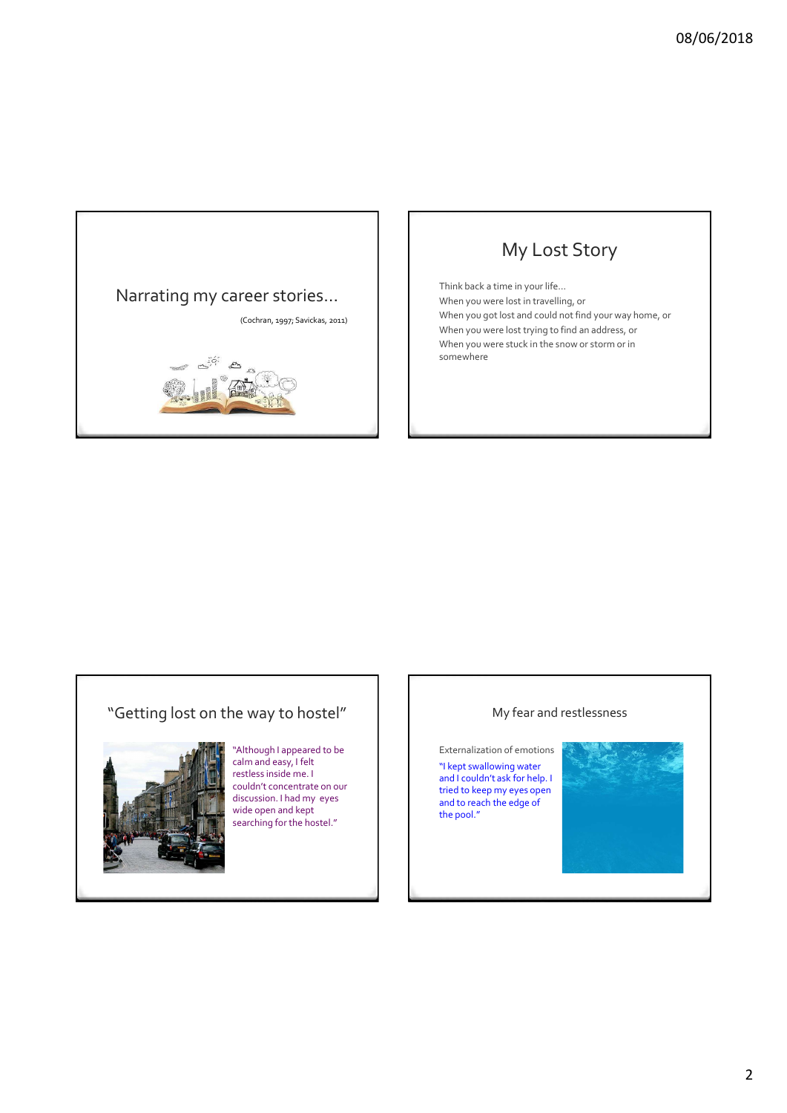## Narrating my career stories…

(Cochran, 1997; Savickas, 2011)



## My Lost Story

Think back a time in your life… When you were lost in travelling, or When you got lost and could not find your way home, or When you were lost trying to find an address, or When you were stuck in the snow or storm or in somewhere

## "Getting lost on the way to hostel"



"Although I appeared to be calm and easy, I felt restless inside me. I couldn't concentrate on our discussion. I had my eyes wide open and kept searching for the hostel."

#### My fear and restlessness

Externalization of emotions "I kept swallowing water and I couldn't ask for help. I tried to keep my eyes open and to reach the edge of the pool."

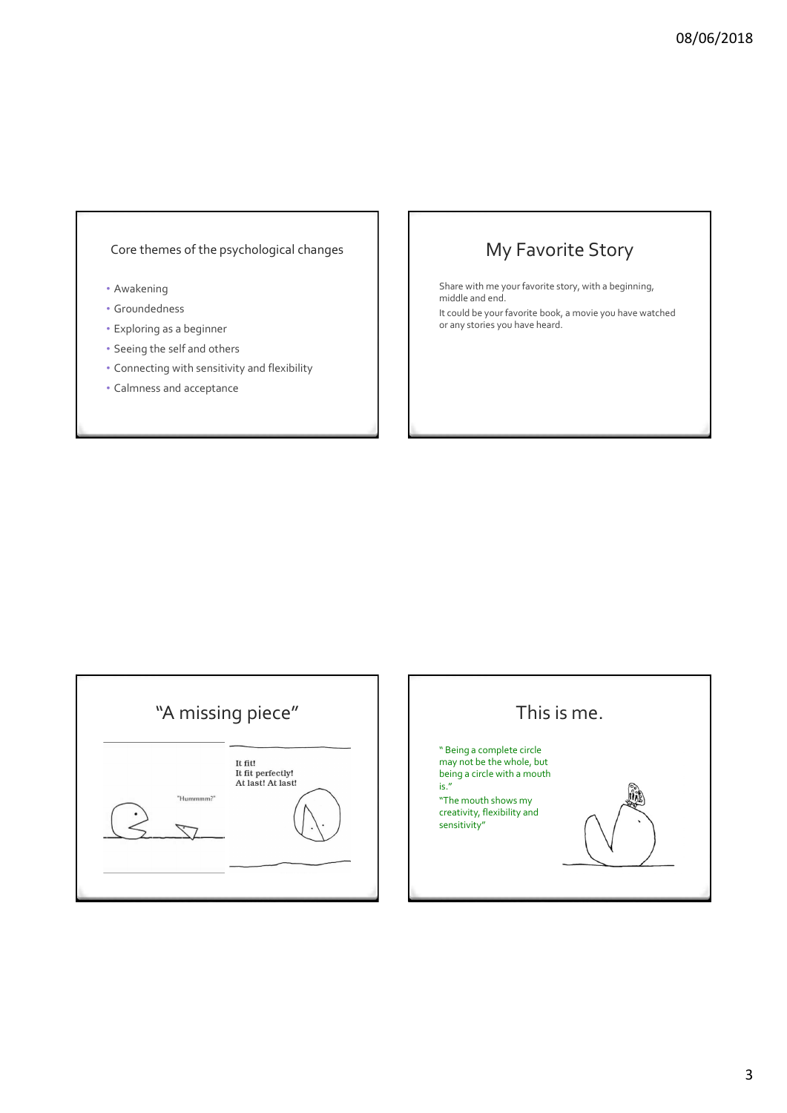#### Core themes of the psychological changes

- Awakening
- Groundedness
- Exploring as a beginner
- Seeing the self and others
- Connecting with sensitivity and flexibility
- Calmness and acceptance

## My Favorite Story

Share with me your favorite story, with a beginning, middle and end. It could be your favorite book, a movie you have watched or any stories you have heard.



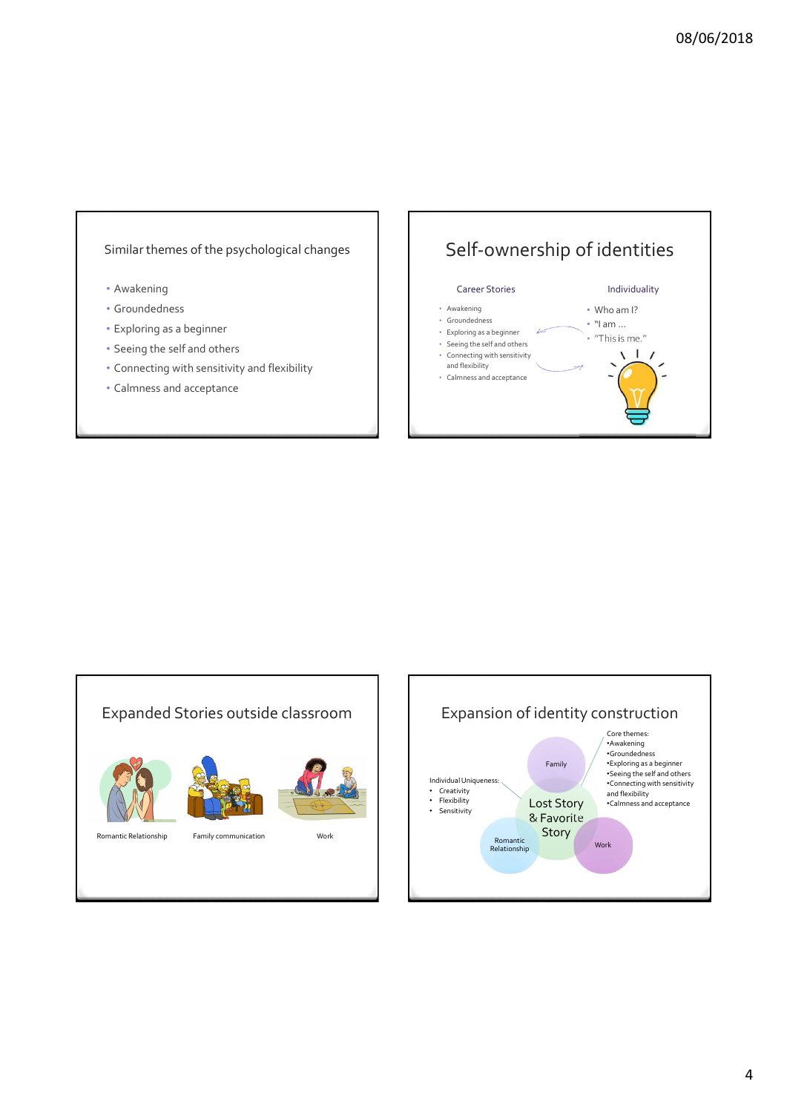#### Similar themes of the psychological changes

- Awakening
- Groundedness
- Exploring as a beginner
- Seeing the self and others
- Connecting with sensitivity and flexibility
- Calmness and acceptance

# Self-ownership of identities **CALC**<br>
Career Stories **Career Stories Individuality**<br>
Career Stories Individuality<br>
Career Stories **Propriet Care and Care and Care and Care and Care and Care and Care and Care and Care and Excellenty<br>
Caren the self and** • Groundedness<br>• Exploring as a beginner<br>• In This is in • Seeing the self and others • Connecting with sensitivity and flexibility • Awakening<br>• Groundedness<br>• Exploring as a beginner<br>• Seeing the self and others<br>• Connecting with sensitivity<br>and flexibility<br>• Calmness and acceptance • "This is me."



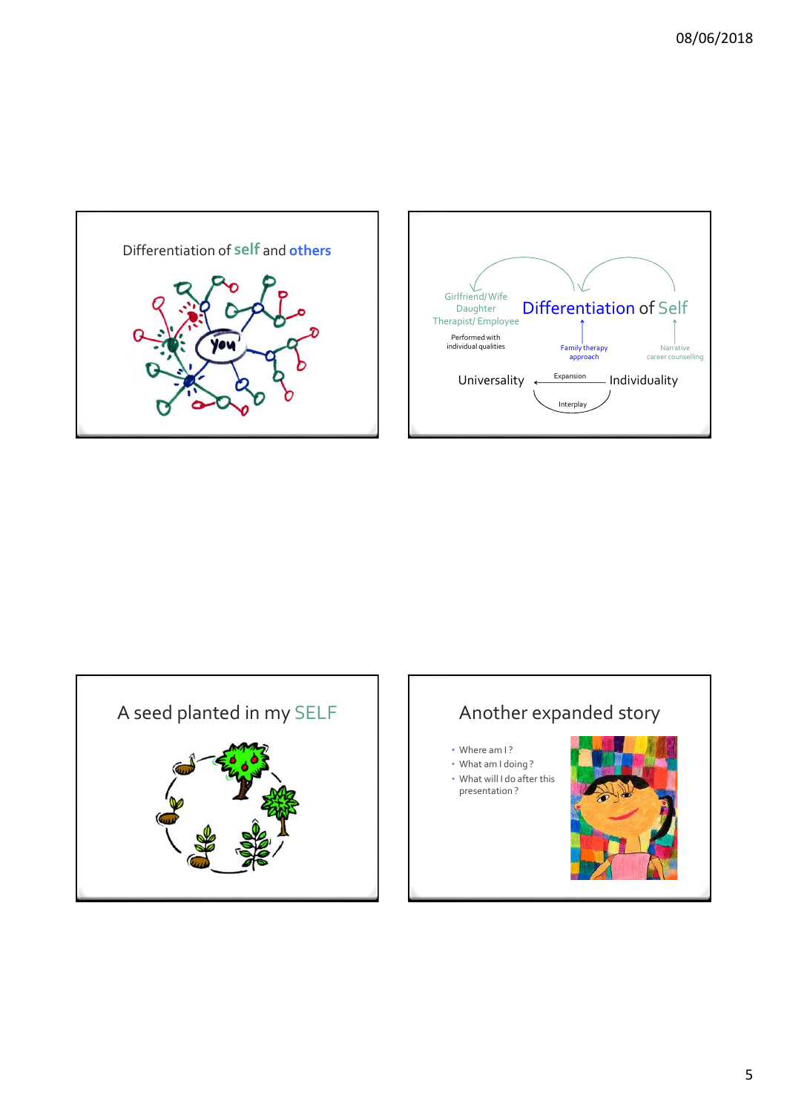